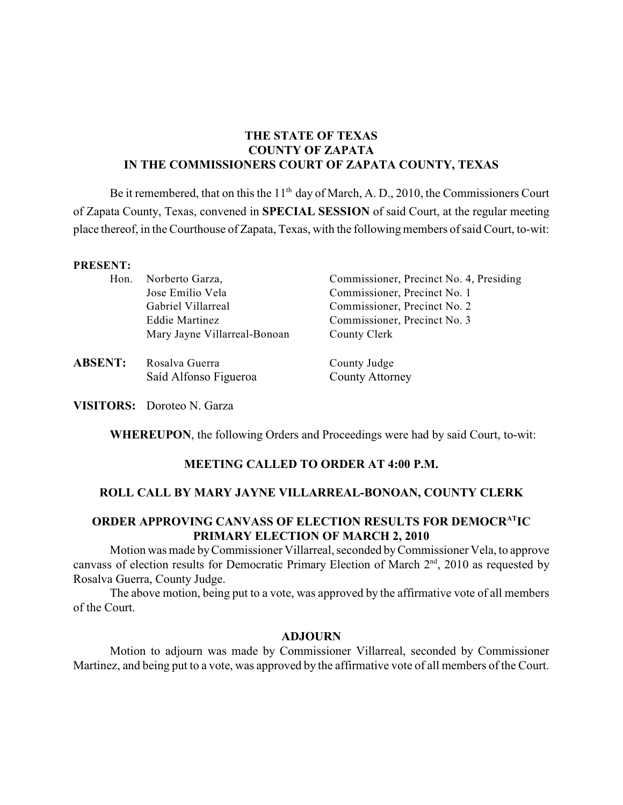# **THE STATE OF TEXAS COUNTY OF ZAPATA IN THE COMMISSIONERS COURT OF ZAPATA COUNTY, TEXAS**

Be it remembered, that on this the  $11<sup>th</sup>$  day of March, A. D., 2010, the Commissioners Court of Zapata County, Texas, convened in **SPECIAL SESSION** of said Court, at the regular meeting place thereof, in the Courthouse of Zapata, Texas, with the following members of said Court, to-wit:

### **PRESENT:**

| Hon. | Norberto Garza,              | Commissioner, Precinct No. 4, Presiding |
|------|------------------------------|-----------------------------------------|
|      | Jose Emilio Vela             | Commissioner, Precinct No. 1            |
|      | Gabriel Villarreal           | Commissioner, Precinct No. 2            |
|      | Eddie Martinez               | Commissioner, Precinct No. 3            |
|      | Mary Jayne Villarreal-Bonoan | County Clerk                            |
|      |                              |                                         |

**ABSENT:** Rosalva Guerra County Judge Saíd Alfonso Figueroa County Attorney

**VISITORS:** Doroteo N. Garza

**WHEREUPON**, the following Orders and Proceedings were had by said Court, to-wit:

## **MEETING CALLED TO ORDER AT 4:00 P.M.**

### **ROLL CALL BY MARY JAYNE VILLARREAL-BONOAN, COUNTY CLERK**

# **ORDER APPROVING CANVASS OF ELECTION RESULTS FOR DEMOCR<sup>AT</sup>IC PRIMARY ELECTION OF MARCH 2, 2010**

Motion was made byCommissioner Villarreal, seconded by Commissioner Vela, to approve canvass of election results for Democratic Primary Election of March  $2<sup>nd</sup>$ , 2010 as requested by Rosalva Guerra, County Judge.

The above motion, being put to a vote, was approved by the affirmative vote of all members of the Court.

### **ADJOURN**

Motion to adjourn was made by Commissioner Villarreal, seconded by Commissioner Martinez, and being put to a vote, was approved by the affirmative vote of all members of the Court.